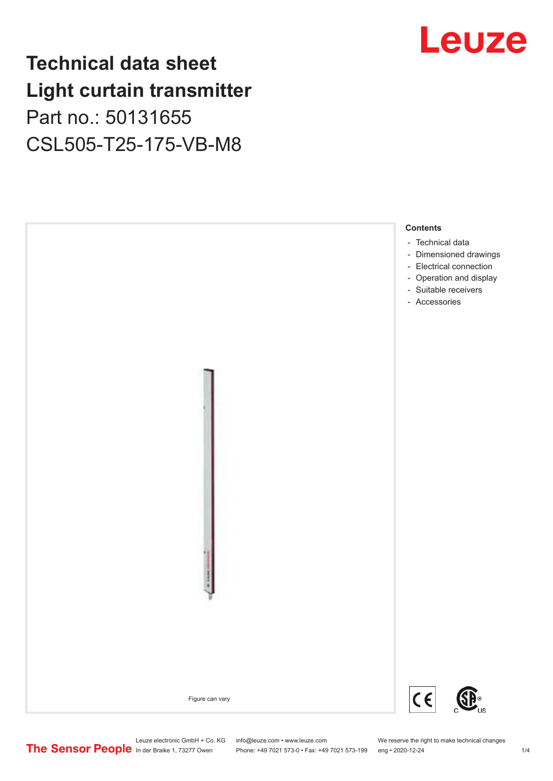# **Technical data sheet Light curtain transmitter** Part no.: 50131655 CSL505-T25-175-VB-M8





Phone: +49 7021 573-0 • Fax: +49 7021 573-199 eng • 2020-12-24 1 2020-12-24

Leuze electronic GmbH + Co. KG info@leuze.com • www.leuze.com We reserve the right to make technical changes<br>
The Sensor People in der Braike 1, 73277 Owen Phone: +49 7021 573-0 • Fax: +49 7021 573-199 eng • 2020-12-24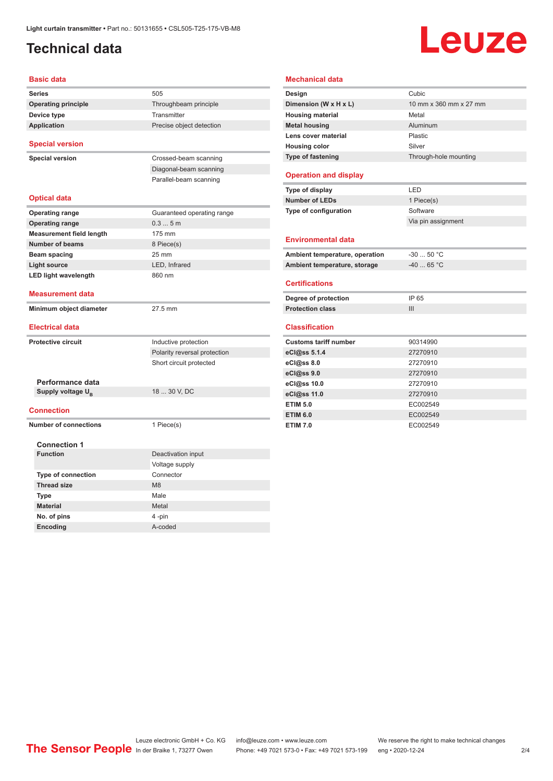# <span id="page-1-0"></span>**Technical data**

# Leuze

|  | Basic data |  |
|--|------------|--|
|  |            |  |

| <b>Series</b>                   | 505                          |
|---------------------------------|------------------------------|
| <b>Operating principle</b>      | Throughbeam principle        |
| Device type                     | Transmitter                  |
| <b>Application</b>              | Precise object detection     |
| <b>Special version</b>          |                              |
| <b>Special version</b>          | Crossed-beam scanning        |
|                                 | Diagonal-beam scanning       |
|                                 | Parallel-beam scanning       |
|                                 |                              |
| <b>Optical data</b>             |                              |
| <b>Operating range</b>          | Guaranteed operating range   |
| <b>Operating range</b>          | 0.35m                        |
| <b>Measurement field length</b> | 175 mm                       |
| Number of beams                 | 8 Piece(s)                   |
| Beam spacing                    | $25 \text{ mm}$              |
| <b>Light source</b>             | LED, Infrared                |
| <b>LED light wavelength</b>     | 860 nm                       |
| <b>Measurement data</b>         |                              |
| Minimum object diameter         | 27.5 mm                      |
|                                 |                              |
| <b>Electrical data</b>          |                              |
| <b>Protective circuit</b>       | Inductive protection         |
|                                 | Polarity reversal protection |
|                                 | Short circuit protected      |
|                                 |                              |
| Performance data                |                              |
| Supply voltage U <sub>B</sub>   | 18  30 V, DC                 |
| <b>Connection</b>               |                              |
| <b>Number of connections</b>    | 1 Piece(s)                   |
|                                 |                              |
| <b>Connection 1</b>             |                              |
| <b>Function</b>                 | Deactivation input           |
|                                 | Voltage supply               |
| <b>Type of connection</b>       | Connector                    |
| <b>Thread size</b>              | M <sub>8</sub>               |
| <b>Type</b>                     | Male                         |
| <b>Material</b>                 | Metal                        |
| No. of pins                     | 4-pin                        |
| Encoding                        | A-coded                      |

| <b>Mechanical data</b>         |                        |
|--------------------------------|------------------------|
| Design                         | Cubic                  |
| Dimension (W x H x L)          | 10 mm x 360 mm x 27 mm |
| <b>Housing material</b>        | Metal                  |
| <b>Metal housing</b>           | Aluminum               |
| Lens cover material            | Plastic                |
| <b>Housing color</b>           | Silver                 |
| Type of fastening              | Through-hole mounting  |
| <b>Operation and display</b>   |                        |
| Type of display                | LED                    |
| <b>Number of LEDs</b>          | 1 Piece(s)             |
| Type of configuration          | Software               |
|                                | Via pin assignment     |
| <b>Environmental data</b>      |                        |
| Ambient temperature, operation | $-30 - 50$ °C          |
| Ambient temperature, storage   | $-4065 °C$             |
| <b>Certifications</b>          |                        |
| Degree of protection           | IP 65                  |
| <b>Protection class</b>        | Ш                      |
| <b>Classification</b>          |                        |
| <b>Customs tariff number</b>   | 90314990               |
| eCl@ss 5.1.4                   | 27270910               |
| eCl@ss 8.0                     | 27270910               |
| eCl@ss 9.0                     | 27270910               |
| eCl@ss 10.0                    | 27270910               |
| eCl@ss 11.0                    | 27270910               |
| <b>ETIM 5.0</b>                | EC002549               |
| <b>ETIM 6.0</b>                | EC002549               |
| <b>ETIM 7.0</b>                | EC002549               |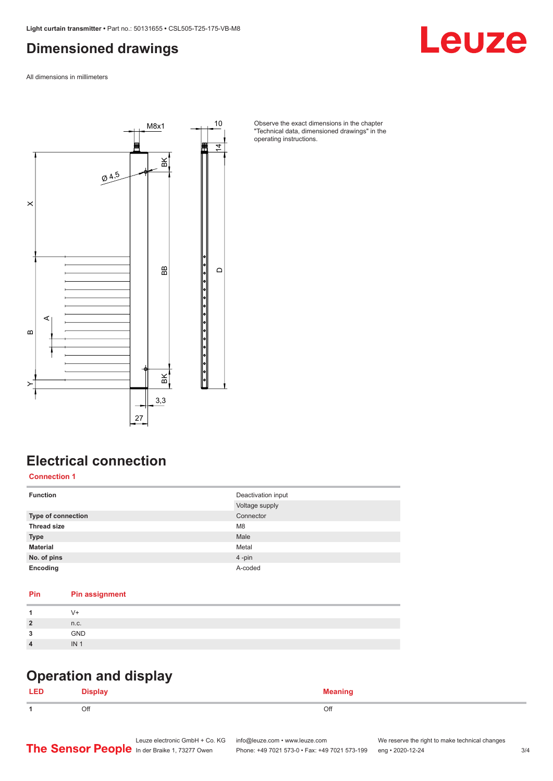### <span id="page-2-0"></span>**Dimensioned drawings**

Leuze

All dimensions in millimeters



Observe the exact dimensions in the chapter "Technical data, dimensioned drawings" in the operating instructions.

# **Electrical connection**

**Connection 1**

| <b>Function</b>    | Deactivation input |
|--------------------|--------------------|
|                    | Voltage supply     |
| Type of connection | Connector          |
| <b>Thread size</b> | M <sub>8</sub>     |
| <b>Type</b>        | Male               |
| <b>Material</b>    | Metal              |
| No. of pins        | 4-pin              |
| Encoding           | A-coded            |

#### **Pin Pin assignment**

|                | V+              |
|----------------|-----------------|
| $\overline{2}$ | n.c.            |
| 2              | GND             |
| $\sqrt{ }$     | IN <sub>1</sub> |
|                |                 |

#### **Operation and display**

| Оff<br>- 11 | ገዙ<br>- |
|-------------|---------|